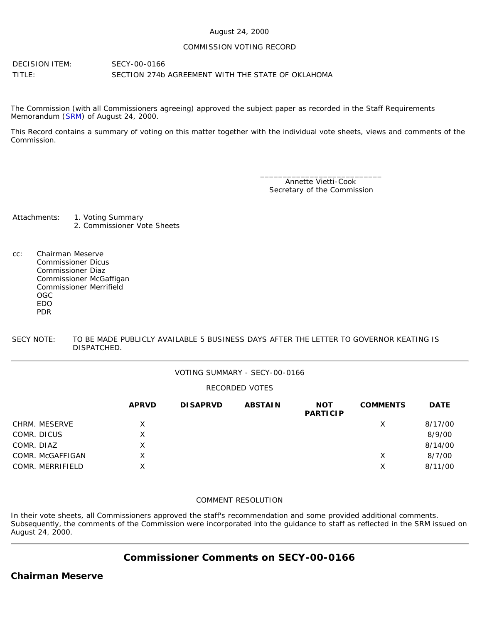#### August 24, 2000

#### COMMISSION VOTING RECORD

DECISION ITEM: SECY-00-0166 TITLE: SECTION 274b AGREEMENT WITH THE STATE OF OKLAHOMA

The Commission (with all Commissioners agreeing) approved the subject paper as recorded in the Staff Requirements Memorandum ([SRM\)](http://www.nrc.gov/reading-rm/doc-collections/commission/srm/2000/2000-0166srm.html) of August 24, 2000.

This Record contains a summary of voting on this matter together with the individual vote sheets, views and comments of the Commission.

> \_\_\_\_\_\_\_\_\_\_\_\_\_\_\_\_\_\_\_\_\_\_\_\_\_\_\_ Annette Vietti-Cook Secretary of the Commission

Attachments: 1. Voting Summary 2. Commissioner Vote Sheets

cc: Chairman Meserve Commissioner Dicus Commissioner Diaz Commissioner McGaffigan Commissioner Merrifield OGC EDO PDR

SECY NOTE: TO BE MADE PUBLICLY AVAILABLE 5 BUSINESS DAYS AFTER THE LETTER TO GOVERNOR KEATING IS DISPATCHED.

#### VOTING SUMMARY - SECY-00-0166

#### RECORDED VOTES

|                  | <b>APRVD</b> | <b>DISAPRVD</b> | <b>ABSTAIN</b> | <b>NOT</b><br><b>PARTICIP</b> | <b>COMMENTS</b> | <b>DATE</b> |
|------------------|--------------|-----------------|----------------|-------------------------------|-----------------|-------------|
| CHRM. MESERVE    | X            |                 |                |                               | Х               | 8/17/00     |
| COMR. DICUS      | X            |                 |                |                               |                 | 8/9/00      |
| COMR. DIAZ       | X            |                 |                |                               |                 | 8/14/00     |
| COMR. McGAFFIGAN | X            |                 |                |                               | Х               | 8/7/00      |
| COMR. MERRIFIELD | X            |                 |                |                               | Х               | 8/11/00     |

#### COMMENT RESOLUTION

In their vote sheets, all Commissioners approved the staff's recommendation and some provided additional comments. Subsequently, the comments of the Commission were incorporated into the guidance to staff as reflected in the SRM issued on August 24, 2000.

# **Commissioner Comments on [SECY-00-0166](http://www.nrc.gov/reading-rm/doc-collections/commission/secys/2000/secy2000-0166/2000-0166scy.html)**

### **Chairman Meserve**